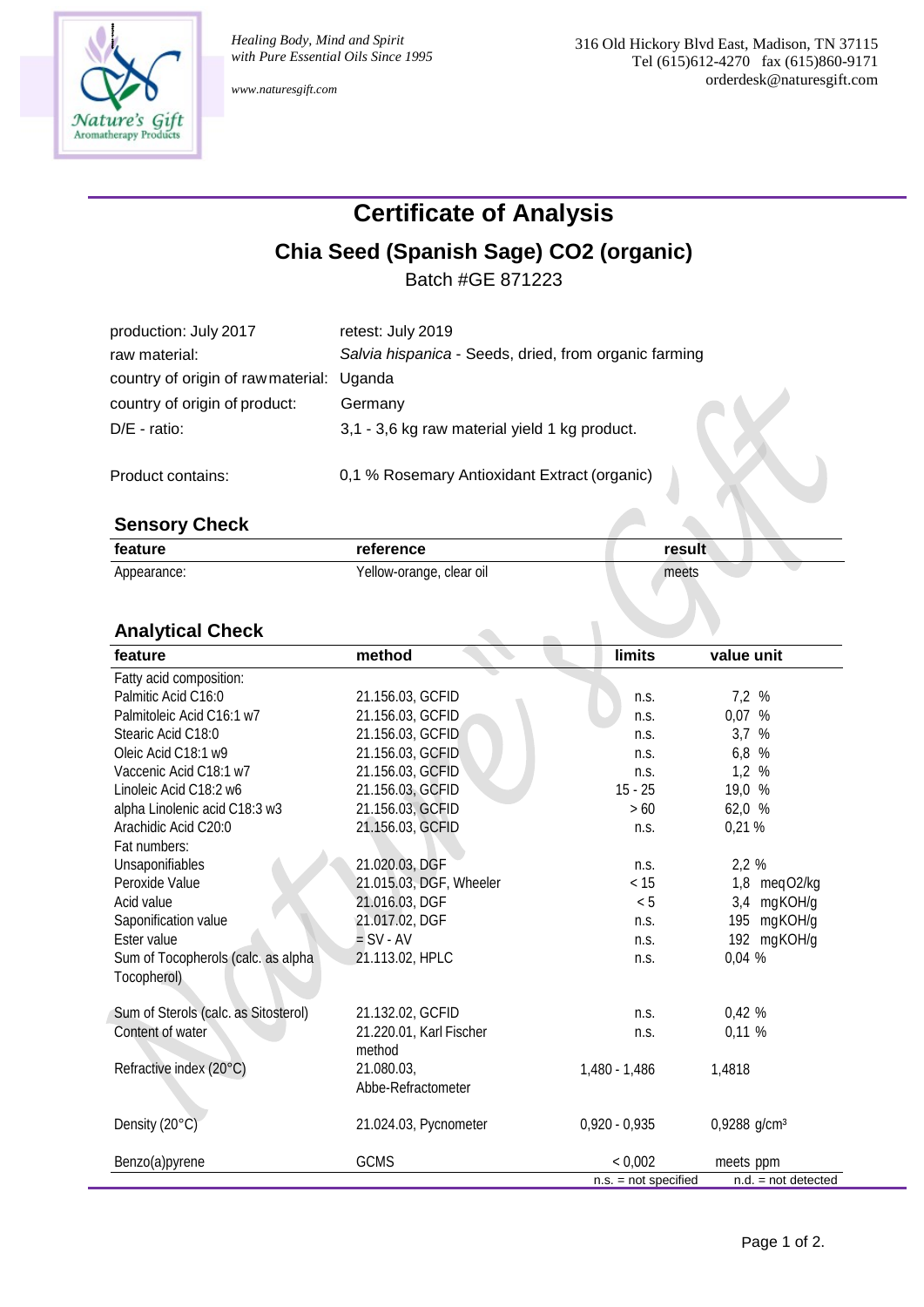

*www.naturesgift.com*

## **Certificate of Analysis**

### **Chia Seed (Spanish Sage) CO2 (organic)**

Batch #GE 871223

| production: July 2017                     | retest: July 2019                                     |
|-------------------------------------------|-------------------------------------------------------|
| raw material:                             | Salvia hispanica - Seeds, dried, from organic farming |
| country of origin of raw material: Uganda |                                                       |
| country of origin of product:             | Germany                                               |
| $D/E - ratio$ :                           | 3,1 - 3,6 kg raw material yield 1 kg product.         |
|                                           |                                                       |

Product contains: 0,1 % Rosemary Antioxidant Extract (organic)

#### **Sensory Check**

| feature     | reference                | result |  |
|-------------|--------------------------|--------|--|
| Appearance: | Yellow-orange, clear oil | meets  |  |

#### **Analytical Check**

| feature                              | method                  | <b>limits</b>          | value unit               |
|--------------------------------------|-------------------------|------------------------|--------------------------|
| Fatty acid composition:              |                         |                        |                          |
| Palmitic Acid C16:0                  | 21.156.03, GCFID        | n.S.                   | 7,2 %                    |
| Palmitoleic Acid C16:1 w7            | 21.156.03, GCFID        | n.S.                   | 0,07 %                   |
| Stearic Acid C18:0                   | 21.156.03, GCFID        | n.s.                   | 3,7 %                    |
| Oleic Acid C18:1 w9                  | 21.156.03, GCFID        | n.S.                   | 6,8 %                    |
| Vaccenic Acid C18:1 w7               | 21.156.03, GCFID        | n.S.                   | 1,2%                     |
| Linoleic Acid C18:2 w6               | 21.156.03, GCFID        | $15 - 25$              | 19,0 %                   |
| alpha Linolenic acid C18:3 w3        | 21.156.03, GCFID        | >60                    | 62,0 %                   |
| Arachidic Acid C20:0                 | 21.156.03, GCFID        | n.S.                   | 0,21%                    |
| Fat numbers:                         |                         |                        |                          |
| Unsaponifiables                      | 21.020.03, DGF          | n.S.                   | 2,2 %                    |
| Peroxide Value                       | 21.015.03, DGF, Wheeler | < 15                   | 1,8 meqO2/kg             |
| Acid value                           | 21.016.03, DGF          | < 5                    | 3,4 mgKOH/g              |
| Saponification value                 | 21.017.02, DGF          | n.S.                   | 195<br>mgKOH/g           |
| Ester value                          | $=$ SV - AV             | n.S.                   | 192 mgKOH/g              |
| Sum of Tocopherols (calc. as alpha   | 21.113.02, HPLC         | n.S.                   | 0,04 %                   |
| Tocopherol)                          |                         |                        |                          |
| Sum of Sterols (calc. as Sitosterol) | 21.132.02, GCFID        | n.S.                   | 0,42%                    |
| Content of water                     | 21.220.01, Karl Fischer | n.S.                   | 0,11%                    |
|                                      | method                  |                        |                          |
| Refractive index (20°C)              | 21.080.03.              | 1,480 - 1,486          | 1,4818                   |
|                                      | Abbe-Refractometer      |                        |                          |
| Density (20°C)                       | 21.024.03, Pycnometer   | $0,920 - 0,935$        | 0,9288 g/cm <sup>3</sup> |
| Benzo(a)pyrene                       | <b>GCMS</b>             | < 0,002                | meets ppm                |
|                                      |                         | $n.s. = not specified$ | $n.d. = not detected$    |